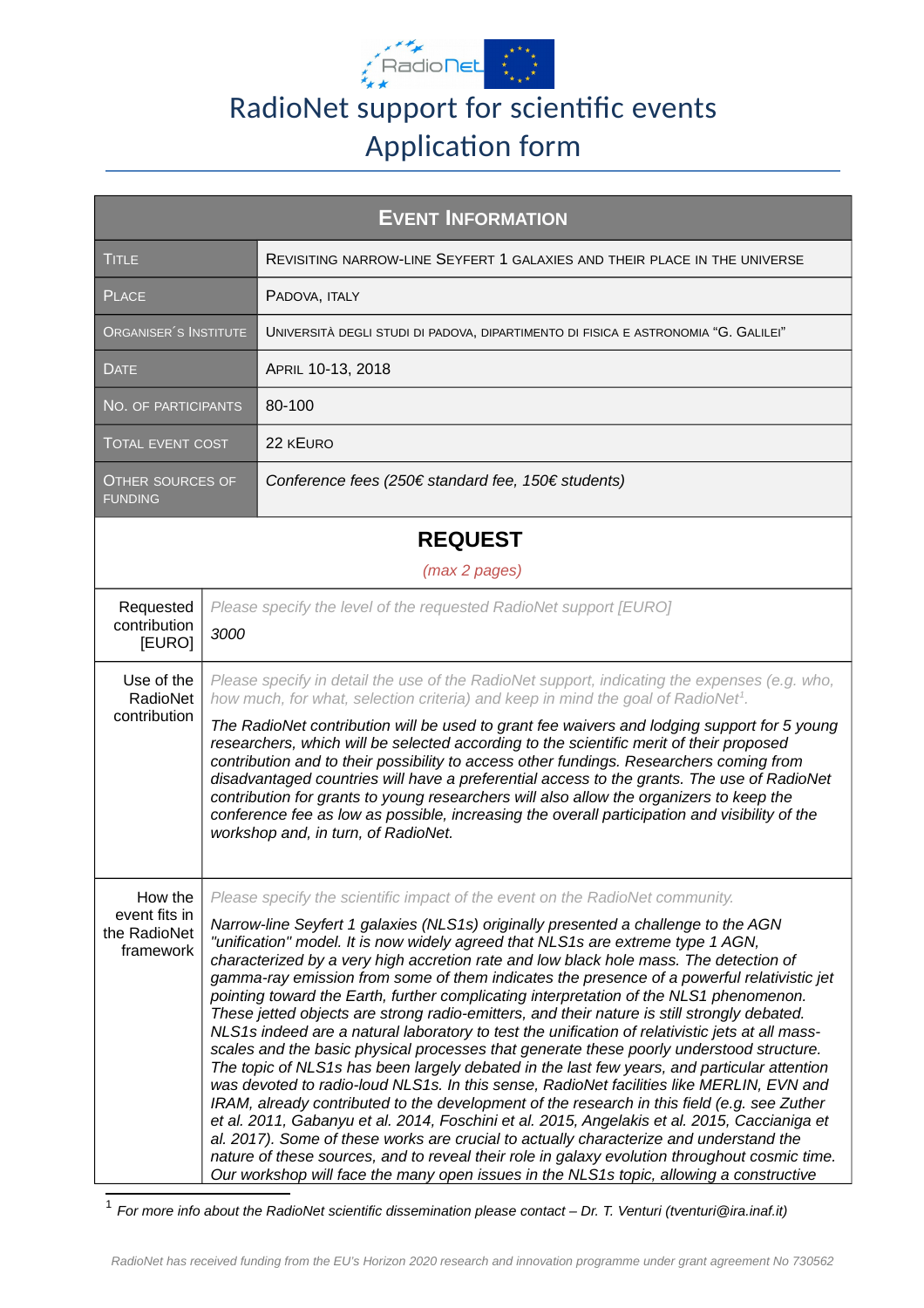

## RadioNet support for scientific events Application form

| <b>EVENT INFORMATION</b>                              |      |                                                                                                                                                                                                                                                                                                                                                                                                                                                                                                                                                                                                                                                                                                                                                                                                                                                                                                                                                                                                                                                                                                                                                                                                                                                                                                                                                                                                                                                                                                                      |  |
|-------------------------------------------------------|------|----------------------------------------------------------------------------------------------------------------------------------------------------------------------------------------------------------------------------------------------------------------------------------------------------------------------------------------------------------------------------------------------------------------------------------------------------------------------------------------------------------------------------------------------------------------------------------------------------------------------------------------------------------------------------------------------------------------------------------------------------------------------------------------------------------------------------------------------------------------------------------------------------------------------------------------------------------------------------------------------------------------------------------------------------------------------------------------------------------------------------------------------------------------------------------------------------------------------------------------------------------------------------------------------------------------------------------------------------------------------------------------------------------------------------------------------------------------------------------------------------------------------|--|
| <b>TITLE</b>                                          |      | REVISITING NARROW-LINE SEYFERT 1 GALAXIES AND THEIR PLACE IN THE UNIVERSE                                                                                                                                                                                                                                                                                                                                                                                                                                                                                                                                                                                                                                                                                                                                                                                                                                                                                                                                                                                                                                                                                                                                                                                                                                                                                                                                                                                                                                            |  |
| <b>PLACE</b>                                          |      | PADOVA, ITALY                                                                                                                                                                                                                                                                                                                                                                                                                                                                                                                                                                                                                                                                                                                                                                                                                                                                                                                                                                                                                                                                                                                                                                                                                                                                                                                                                                                                                                                                                                        |  |
| ORGANISER <sup>'</sup> S INSTITUTE                    |      | UNIVERSITÀ DEGLI STUDI DI PADOVA, DIPARTIMENTO DI FISICA E ASTRONOMIA "G. GALILEI"                                                                                                                                                                                                                                                                                                                                                                                                                                                                                                                                                                                                                                                                                                                                                                                                                                                                                                                                                                                                                                                                                                                                                                                                                                                                                                                                                                                                                                   |  |
| <b>DATE</b>                                           |      | APRIL 10-13, 2018                                                                                                                                                                                                                                                                                                                                                                                                                                                                                                                                                                                                                                                                                                                                                                                                                                                                                                                                                                                                                                                                                                                                                                                                                                                                                                                                                                                                                                                                                                    |  |
| NO. OF PARTICIPANTS                                   |      | 80-100                                                                                                                                                                                                                                                                                                                                                                                                                                                                                                                                                                                                                                                                                                                                                                                                                                                                                                                                                                                                                                                                                                                                                                                                                                                                                                                                                                                                                                                                                                               |  |
| <b>TOTAL EVENT COST</b>                               |      | 22 KEURO                                                                                                                                                                                                                                                                                                                                                                                                                                                                                                                                                                                                                                                                                                                                                                                                                                                                                                                                                                                                                                                                                                                                                                                                                                                                                                                                                                                                                                                                                                             |  |
| OTHER SOURCES OF<br><b>FUNDING</b>                    |      | Conference fees (250€ standard fee, 150€ students)                                                                                                                                                                                                                                                                                                                                                                                                                                                                                                                                                                                                                                                                                                                                                                                                                                                                                                                                                                                                                                                                                                                                                                                                                                                                                                                                                                                                                                                                   |  |
| <b>REQUEST</b>                                        |      |                                                                                                                                                                                                                                                                                                                                                                                                                                                                                                                                                                                                                                                                                                                                                                                                                                                                                                                                                                                                                                                                                                                                                                                                                                                                                                                                                                                                                                                                                                                      |  |
| (max 2 pages)                                         |      |                                                                                                                                                                                                                                                                                                                                                                                                                                                                                                                                                                                                                                                                                                                                                                                                                                                                                                                                                                                                                                                                                                                                                                                                                                                                                                                                                                                                                                                                                                                      |  |
| Requested<br>contribution<br>[EURO]                   | 3000 | Please specify the level of the requested RadioNet support [EURO]                                                                                                                                                                                                                                                                                                                                                                                                                                                                                                                                                                                                                                                                                                                                                                                                                                                                                                                                                                                                                                                                                                                                                                                                                                                                                                                                                                                                                                                    |  |
| Use of the<br>RadioNet<br>contribution                |      | Please specify in detail the use of the RadioNet support, indicating the expenses (e.g. who,<br>how much, for what, selection criteria) and keep in mind the goal of RadioNet <sup>1</sup> .<br>The RadioNet contribution will be used to grant fee waivers and lodging support for 5 young<br>researchers, which will be selected according to the scientific merit of their proposed<br>contribution and to their possibility to access other fundings. Researchers coming from<br>disadvantaged countries will have a preferential access to the grants. The use of RadioNet<br>contribution for grants to young researchers will also allow the organizers to keep the<br>conference fee as low as possible, increasing the overall participation and visibility of the<br>workshop and, in turn, of RadioNet.                                                                                                                                                                                                                                                                                                                                                                                                                                                                                                                                                                                                                                                                                                   |  |
| How the<br>event fits in<br>the RadioNet<br>framework |      | Please specify the scientific impact of the event on the RadioNet community.<br>Narrow-line Seyfert 1 galaxies (NLS1s) originally presented a challenge to the AGN<br>"unification" model. It is now widely agreed that NLS1s are extreme type 1 AGN,<br>characterized by a very high accretion rate and low black hole mass. The detection of<br>gamma-ray emission from some of them indicates the presence of a powerful relativistic jet<br>pointing toward the Earth, further complicating interpretation of the NLS1 phenomenon.<br>These jetted objects are strong radio-emitters, and their nature is still strongly debated.<br>NLS1s indeed are a natural laboratory to test the unification of relativistic jets at all mass-<br>scales and the basic physical processes that generate these poorly understood structure.<br>The topic of NLS1s has been largely debated in the last few years, and particular attention<br>was devoted to radio-loud NLS1s. In this sense, RadioNet facilities like MERLIN, EVN and<br>IRAM, already contributed to the development of the research in this field (e.g. see Zuther<br>et al. 2011, Gabanyu et al. 2014, Foschini et al. 2015, Angelakis et al. 2015, Caccianiga et<br>al. 2017). Some of these works are crucial to actually characterize and understand the<br>nature of these sources, and to reveal their role in galaxy evolution throughout cosmic time.<br>Our workshop will face the many open issues in the NLS1s topic, allowing a constructive |  |

<span id="page-0-0"></span>1 *For more info about the RadioNet scientific dissemination please contact – Dr. T. Venturi (tventuri@ira.inaf.it)*